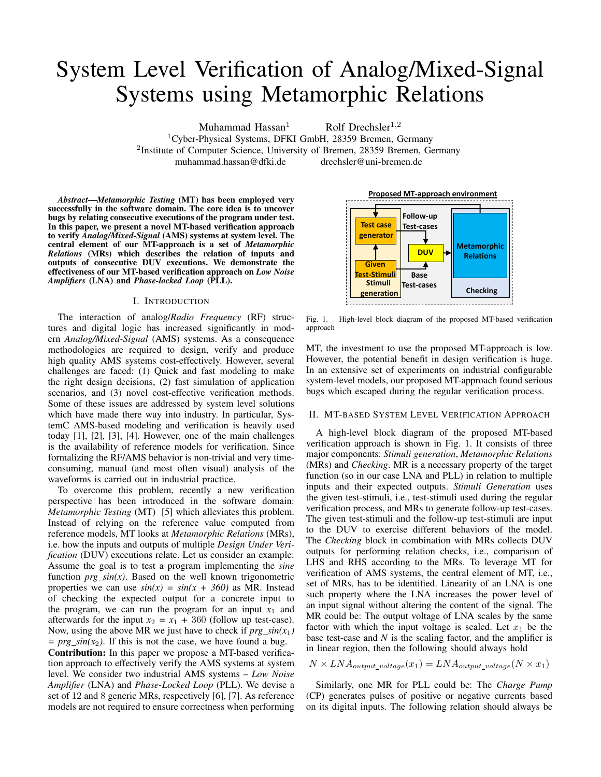# System Level Verification of Analog/Mixed-Signal Systems using Metamorphic Relations

Muhammad Hassan<sup>1</sup> Rolf Drechsler<sup>1,2</sup>

 $1$ Cyber-Physical Systems, DFKI GmbH, 28359 Bremen, Germany <sup>2</sup>Institute of Computer Science, University of Bremen, 28359 Bremen, Germany muhammad.hassan@dfki.de drechsler@uni-bremen.de

*Abstract*—*Metamorphic Testing* (MT) has been employed very successfully in the software domain. The core idea is to uncover bugs by relating consecutive executions of the program under test. In this paper, we present a novel MT-based verification approach to verify *Analog/Mixed-Signal* (AMS) systems at system level. The central element of our MT-approach is a set of *Metamorphic Relations* (MRs) which describes the relation of inputs and outputs of consecutive DUV executions. We demonstrate the effectiveness of our MT-based verification approach on *Low Noise Amplifiers* (LNA) and *Phase-locked Loop* (PLL).

## I. INTRODUCTION

The interaction of analog/*Radio Frequency* (RF) structures and digital logic has increased significantly in modern *Analog/Mixed-Signal* (AMS) systems. As a consequence methodologies are required to design, verify and produce high quality AMS systems cost-effectively. However, several challenges are faced: (1) Quick and fast modeling to make the right design decisions, (2) fast simulation of application scenarios, and (3) novel cost-effective verification methods. Some of these issues are addressed by system level solutions which have made there way into industry. In particular, SystemC AMS-based modeling and verification is heavily used today [1], [2], [3], [4]. However, one of the main challenges is the availability of reference models for verification. Since formalizing the RF/AMS behavior is non-trivial and very timeconsuming, manual (and most often visual) analysis of the waveforms is carried out in industrial practice.

To overcome this problem, recently a new verification perspective has been introduced in the software domain: *Metamorphic Testing* (MT) [5] which alleviates this problem. Instead of relying on the reference value computed from reference models, MT looks at *Metamorphic Relations* (MRs), i.e. how the inputs and outputs of multiple *Design Under Verification* (DUV) executions relate. Let us consider an example: Assume the goal is to test a program implementing the *sine* function  $prg\_sin(x)$ . Based on the well known trigonometric properties we can use  $sin(x) = sin(x + 360)$  as MR. Instead of checking the expected output for a concrete input to the program, we can run the program for an input  $x_1$  and afterwards for the input  $x_2 = x_1 + 360$  (follow up test-case). Now, using the above MR we just have to check if  $prg\_sin(x_1)$  $= \text{prg}_s \sin(x_2)$ . If this is not the case, we have found a bug.

Contribution: In this paper we propose a MT-based verification approach to effectively verify the AMS systems at system level. We consider two industrial AMS systems – *Low Noise Amplifier* (LNA) and *Phase-Locked Loop* (PLL). We devise a set of 12 and 8 generic MRs, respectively [6], [7]. As reference models are not required to ensure correctness when performing



Fig. 1. High-level block diagram of the proposed MT-based verification approach

MT, the investment to use the proposed MT-approach is low. However, the potential benefit in design verification is huge. In an extensive set of experiments on industrial configurable system-level models, our proposed MT-approach found serious bugs which escaped during the regular verification process.

#### II. MT-BASED SYSTEM LEVEL VERIFICATION APPROACH

A high-level block diagram of the proposed MT-based verification approach is shown in Fig. 1. It consists of three major components: *Stimuli generation*, *Metamorphic Relations* (MRs) and *Checking*. MR is a necessary property of the target function (so in our case LNA and PLL) in relation to multiple inputs and their expected outputs. *Stimuli Generation* uses the given test-stimuli, i.e., test-stimuli used during the regular verification process, and MRs to generate follow-up test-cases. The given test-stimuli and the follow-up test-stimuli are input to the DUV to exercise different behaviors of the model. The *Checking* block in combination with MRs collects DUV outputs for performing relation checks, i.e., comparison of LHS and RHS according to the MRs. To leverage MT for verification of AMS systems, the central element of MT, i.e., set of MRs, has to be identified. Linearity of an LNA is one such property where the LNA increases the power level of an input signal without altering the content of the signal. The MR could be: The output voltage of LNA scales by the same factor with which the input voltage is scaled. Let  $x_1$  be the base test-case and *N* is the scaling factor, and the amplifier is in linear region, then the following should always hold

$$
N \times LNA_{output\_voltage}(x_1) = LNA_{output\_voltage}(N \times x_1)
$$

Similarly, one MR for PLL could be: The *Charge Pump* (CP) generates pulses of positive or negative currents based on its digital inputs. The following relation should always be